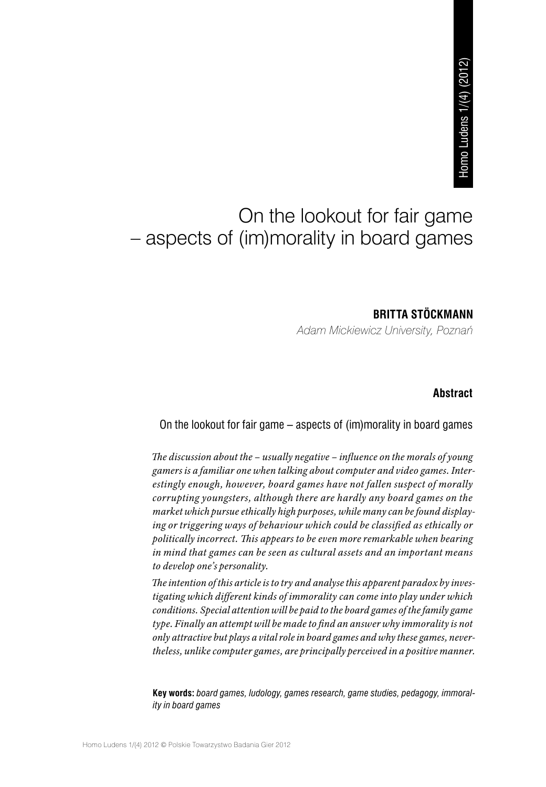# On the lookout for fair game – aspects of (im)morality in board games **Britta Stöckmann**<br>Britta Stöckmann<br>Britta Stöckmann

*Adam Mickiewicz University, Poznań*

#### **Abstract**

### On the lookout for fair game – aspects of (im)morality in board games

*The discussion about the – usually negative – influence on the morals of young gamers is a familiar one when talking about computer and video games. Interestingly enough, however, board games have not fallen suspect of morally corrupting youngsters, although there are hardly any board games on the market which pursue ethically high purposes, while many can be found displaying or triggering ways of behaviour which could be classified as ethically or politically incorrect. This appears to be even more remarkable when bearing in mind that games can be seen as cultural assets and an important means to develop one's personality.*

*The intention of this article is to try and analyse this apparent paradox by investigating which different kinds of immorality can come into play under which conditions. Special attention will be paid to the board games of the family game type. Finally an attempt will be made to find an answer why immorality is not only attractive but plays a vital role in board games and why these games, nevertheless, unlike computer games, are principally perceived in a positive manner.*

**Key words:** *board games, ludology, games research, game studies, pedagogy, immorality in board games*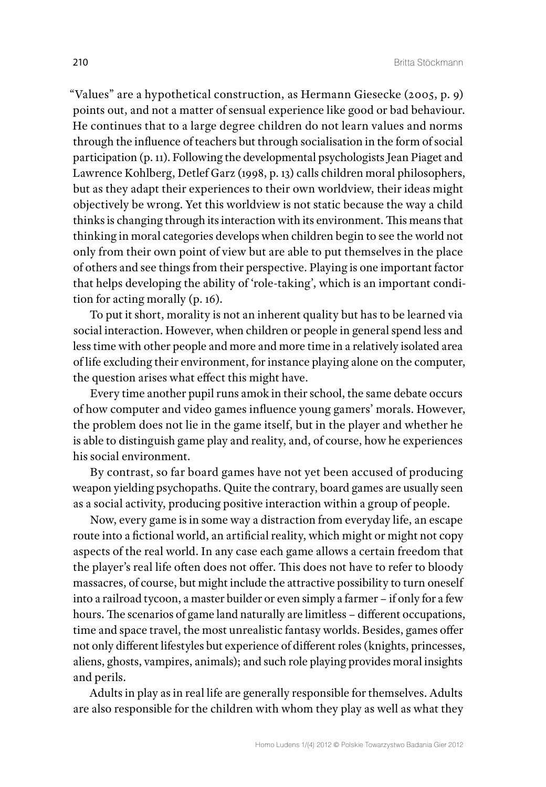"Values" are a hypothetical construction, as Hermann Giesecke (2005, p. 9) points out, and not a matter of sensual experience like good or bad behaviour. He continues that to a large degree children do not learn values and norms through the influence of teachers but through socialisation in the form of social participation (p. 11). Following the developmental psychologists Jean Piaget and Lawrence Kohlberg, Detlef Garz (1998, p. 13) calls children moral philosophers, but as they adapt their experiences to their own worldview, their ideas might objectively be wrong. Yet this worldview is not static because the way a child thinks is changing through its interaction with its environment. This means that thinking in moral categories develops when children begin to see the world not only from their own point of view but are able to put themselves in the place of others and see things from their perspective. Playing is one important factor that helps developing the ability of 'role-taking', which is an important condition for acting morally (p. 16).

To put it short, morality is not an inherent quality but has to be learned via social interaction. However, when children or people in general spend less and less time with other people and more and more time in a relatively isolated area of life excluding their environment, for instance playing alone on the computer, the question arises what effect this might have.

Every time another pupil runs amok in their school, the same debate occurs of how computer and video games influence young gamers' morals. However, the problem does not lie in the game itself, but in the player and whether he is able to distinguish game play and reality, and, of course, how he experiences his social environment.

By contrast, so far board games have not yet been accused of producing weapon yielding psychopaths. Quite the contrary, board games are usually seen as a social activity, producing positive interaction within a group of people.

Now, every game is in some way a distraction from everyday life, an escape route into a fictional world, an artificial reality, which might or might not copy aspects of the real world. In any case each game allows a certain freedom that the player's real life often does not offer. This does not have to refer to bloody massacres, of course, but might include the attractive possibility to turn oneself into a railroad tycoon, a master builder or even simply a farmer – if only for a few hours. The scenarios of game land naturally are limitless – different occupations, time and space travel, the most unrealistic fantasy worlds. Besides, games offer not only different lifestyles but experience of different roles (knights, princesses, aliens, ghosts, vampires, animals); and such role playing provides moral insights and perils.

Adults in play as in real life are generally responsible for themselves. Adults are also responsible for the children with whom they play as well as what they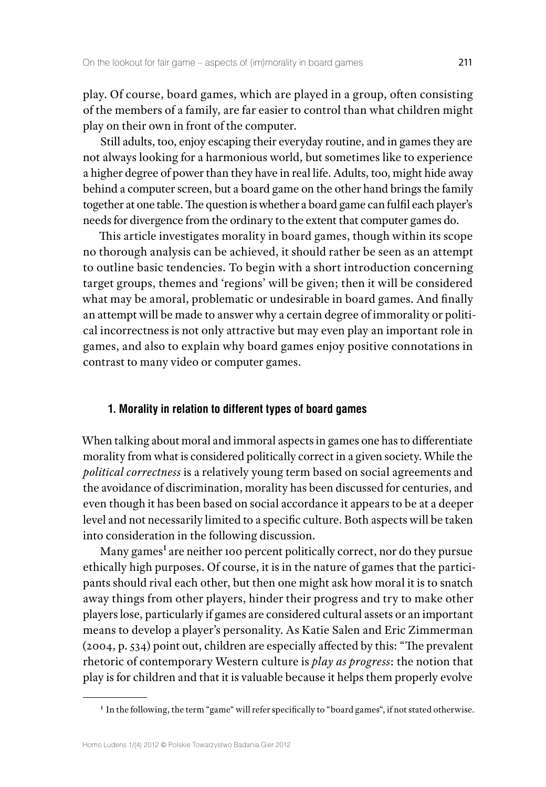play. Of course, board games, which are played in a group, often consisting of the members of a family, are far easier to control than what children might play on their own in front of the computer.

Still adults, too, enjoy escaping their everyday routine, and in games they are not always looking for a harmonious world, but sometimes like to experience a higher degree of power than they have in real life. Adults, too, might hide away behind a computer screen, but a board game on the other hand brings the family together at one table. The question is whether a board game can fulfil each player's needs for divergence from the ordinary to the extent that computer games do.

This article investigates morality in board games, though within its scope no thorough analysis can be achieved, it should rather be seen as an attempt to outline basic tendencies. To begin with a short introduction concerning target groups, themes and 'regions' will be given; then it will be considered what may be amoral, problematic or undesirable in board games. And finally an attempt will be made to answer why a certain degree of immorality or political incorrectness is not only attractive but may even play an important role in games, and also to explain why board games enjoy positive connotations in contrast to many video or computer games.

#### **1. Morality in relation to different types of board games**

When talking about moral and immoral aspects in games one has to differentiate morality from what is considered politically correct in a given society. While the *political correctness* is a relatively young term based on social agreements and the avoidance of discrimination, morality has been discussed for centuries, and even though it has been based on social accordance it appears to be at a deeper level and not necessarily limited to a specific culture. Both aspects will be taken into consideration in the following discussion.

Many games<sup>1</sup> are neither 100 percent politically correct, nor do they pursue ethically high purposes. Of course, it is in the nature of games that the participants should rival each other, but then one might ask how moral it is to snatch away things from other players, hinder their progress and try to make other players lose, particularly if games are considered cultural assets or an important means to develop a player's personality. As Katie Salen and Eric Zimmerman (2004, p. 534) point out, children are especially affected by this: "The prevalent rhetoric of contemporary Western culture is *play as progress*: the notion that play is for children and that it is valuable because it helps them properly evolve

**<sup>1</sup>** In the following, the term "game" will refer specifically to "board games", if not stated otherwise.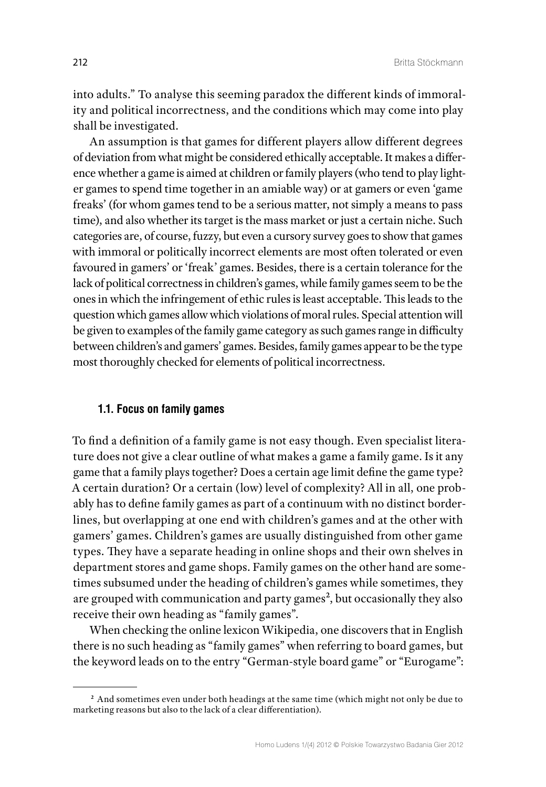into adults." To analyse this seeming paradox the different kinds of immorality and political incorrectness, and the conditions which may come into play shall be investigated.

An assumption is that games for different players allow different degrees of deviation from what might be considered ethically acceptable. It makes a difference whether a game is aimed at children or family players (who tend to play lighter games to spend time together in an amiable way) or at gamers or even 'game freaks' (for whom games tend to be a serious matter, not simply a means to pass time), and also whether its target is the mass market or just a certain niche. Such categories are, of course, fuzzy, but even a cursory survey goes to show that games with immoral or politically incorrect elements are most often tolerated or even favoured in gamers' or 'freak' games. Besides, there is a certain tolerance for the lack of political correctness in children's games, while family games seem to be the ones in which the infringement of ethic rules is least acceptable. This leads to the question which games allow which violations of moral rules. Special attention will be given to examples of the family game category as such games range in difficulty between children's and gamers' games. Besides, family games appear to be the type most thoroughly checked for elements of political incorrectness.

#### **1.1. Focus on family games**

To find a definition of a family game is not easy though. Even specialist literature does not give a clear outline of what makes a game a family game. Is it any game that a family plays together? Does a certain age limit define the game type? A certain duration? Or a certain (low) level of complexity? All in all, one probably has to define family games as part of a continuum with no distinct borderlines, but overlapping at one end with children's games and at the other with gamers' games. Children's games are usually distinguished from other game types. They have a separate heading in online shops and their own shelves in department stores and game shops. Family games on the other hand are sometimes subsumed under the heading of children's games while sometimes, they are grouped with communication and party games<sup>2</sup>, but occasionally they also receive their own heading as "family games".

When checking the online lexicon Wikipedia, one discovers that in English there is no such heading as "family games" when referring to board games, but the keyword leads on to the entry "German-style board game" or "Eurogame":

**<sup>2</sup>**And sometimes even under both headings at the same time (which might not only be due to marketing reasons but also to the lack of a clear differentiation).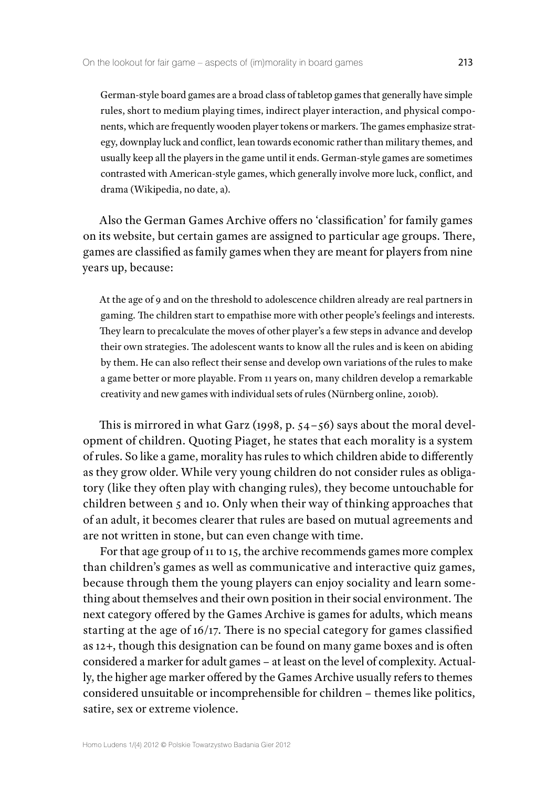German-style board games are a broad class of [tabletop games](http://en.wikipedia.org/wiki/Tabletop_game) that generally have simple rules, short to medium playing times, indirect player interaction, and physical components, which are frequently wooden player tokens or markers. The games emphasize strategy, downplay luck and conflict, lean towards economic rather than military themes, and usually keep all the players in the game until it ends. German-style games are sometimes contrasted with American-style games, which generally involve more luck, conflict, and drama (Wikipedia, no date, a).

Also the German Games Archive offers no 'classification' for family games on its website, but certain games are assigned to particular age groups. There, games are classified as family games when they are meant for players from nine years up, because:

At the age of 9 and on the threshold to adolescence children already are real partners in gaming. The children start to empathise more with other people's feelings and interests. They learn to precalculate the moves of other player's a few steps in advance and develop their own strategies. The adolescent wants to know all the rules and is keen on abiding by them. He can also reflect their sense and develop own variations of the rules to make a game better or more playable. From 11 years on, many children develop a remarkable creativity and new games with individual sets of rules (Nürnberg online, 2010b).

This is mirrored in what Garz (1998, p. 54–56) says about the moral development of children. Quoting Piaget, he states that each morality is a system of rules. So like a game, morality has rules to which children abide to differently as they grow older. While very young children do not consider rules as obligatory (like they often play with changing rules), they become untouchable for children between 5 and 10. Only when their way of thinking approaches that of an adult, it becomes clearer that rules are based on mutual agreements and are not written in stone, but can even change with time.

For that age group of 11 to 15, the archive recommends games more complex than children's games as well as communicative and interactive quiz games, because through them the young players can enjoy sociality and learn something about themselves and their own position in their social environment. The next category offered by the Games Archive is games for adults, which means starting at the age of 16/17. There is no special category for games classified as 12+, though this designation can be found on many game boxes and is often considered a marker for adult games – at least on the level of complexity. Actually, the higher age marker offered by the Games Archive usually refers to themes considered unsuitable or incomprehensible for children – themes like politics, satire, sex or extreme violence.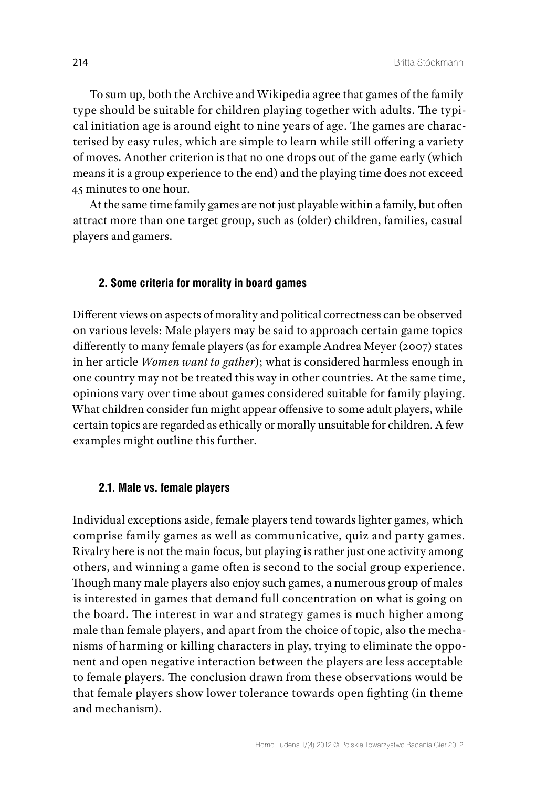To sum up, both the Archive and Wikipedia agree that games of the family type should be suitable for children playing together with adults. The typical initiation age is around eight to nine years of age. The games are characterised by easy rules, which are simple to learn while still offering a variety of moves. Another criterion is that no one drops out of the game early (which means it is a group experience to the end) and the playing time does not exceed 45 minutes to one hour.

At the same time family games are not just playable within a family, but often attract more than one target group, such as (older) children, families, casual players and gamers.

#### **2. Some criteria for morality in board games**

Different views on aspects of morality and political correctness can be observed on various levels: Male players may be said to approach certain game topics differently to many female players (as for example Andrea Meyer (2007) states in her article *Women want to gather*); what is considered harmless enough in one country may not be treated this way in other countries. At the same time, opinions vary over time about games considered suitable for family playing. What children consider fun might appear offensive to some adult players, while certain topics are regarded as ethically or morally unsuitable for children. A few examples might outline this further.

#### **2.1. Male vs. female players**

Individual exceptions aside, female players tend towards lighter games, which comprise family games as well as communicative, quiz and party games. Rivalry here is not the main focus, but playing is rather just one activity among others, and winning a game often is second to the social group experience. Though many male players also enjoy such games, a numerous group of males is interested in games that demand full concentration on what is going on the board. The interest in war and strategy games is much higher among male than female players, and apart from the choice of topic, also the mechanisms of harming or killing characters in play, trying to eliminate the opponent and open negative interaction between the players are less acceptable to female players. The conclusion drawn from these observations would be that female players show lower tolerance towards open fighting (in theme and mechanism).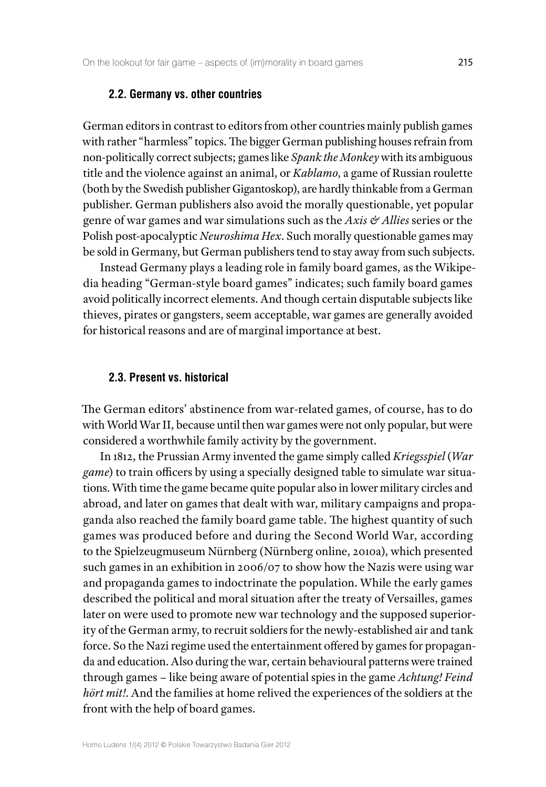### **2.2. Germany vs. other countries**

German editors in contrast to editors from other countries mainly publish games with rather "harmless" topics. The bigger German publishing houses refrain from non-politically correct subjects; games like *Spank the Monkey* with its ambiguous title and the violence against an animal, or *Kablamo*, a game of Russian roulette (both by the Swedish publisher Gigantoskop), are hardly thinkable from a German publisher. German publishers also avoid the morally questionable, yet popular genre of war games and war simulations such as the *Axis & Allies* series or the Polish post-apocalyptic *Neuroshima Hex*. Such morally questionable games may be sold in Germany, but German publishers tend to stay away from such subjects.

Instead Germany plays a leading role in family board games, as the Wikipedia heading "German-style board games" indicates; such family board games avoid politically incorrect elements. And though certain disputable subjects like thieves, pirates or gangsters, seem acceptable, war games are generally avoided for historical reasons and are of marginal importance at best.

#### **2.3. Present vs. historical**

The German editors' abstinence from war-related games, of course, has to do with World War II, because until then war games were not only popular, but were considered a worthwhile family activity by the government.

In 1812, the Prussian Army invented the game simply called *Kriegsspiel* (*War game*) to train officers by using a specially designed table to simulate war situations. With time the game became quite popular also in lower military circles and abroad, and later on games that dealt with war, military campaigns and propaganda also reached the family board game table. The highest quantity of such games was produced before and during the Second World War, according to the Spielzeugmuseum Nürnberg (Nürnberg online, 2010a), which presented such games in an exhibition in 2006/07 to show how the Nazis were using war and propaganda games to indoctrinate the population. While the early games described the political and moral situation after the treaty of Versailles, games later on were used to promote new war technology and the supposed superiority of the German army, to recruit soldiers for the newly-established air and tank force. So the Nazi regime used the entertainment offered by games for propaganda and education. Also during the war, certain behavioural patterns were trained through games – like being aware of potential spies in the game *Achtung! Feind hört mit!*. And the families at home relived the experiences of the soldiers at the front with the help of board games.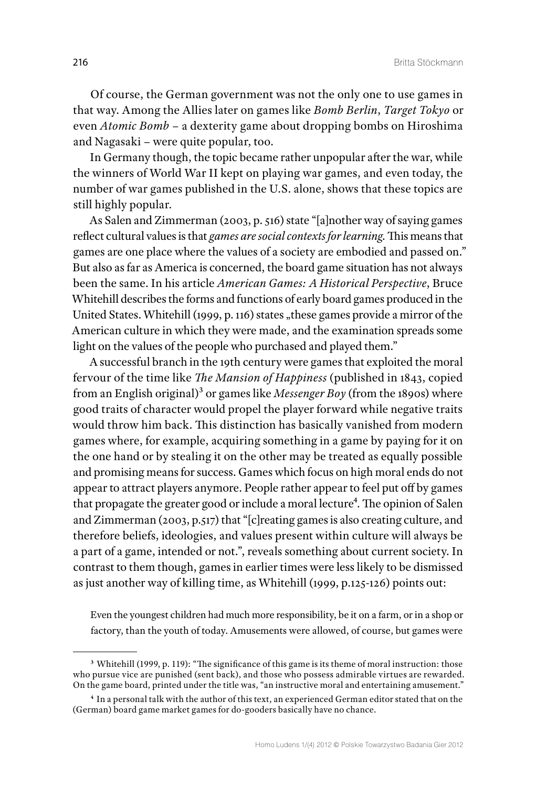Of course, the German government was not the only one to use games in that way. Among the Allies later on games like *Bomb Berlin*, *Target Tokyo* or even *Atomic Bomb* – a dexterity game about dropping bombs on Hiroshima and Nagasaki – were quite popular, too.

In Germany though, the topic became rather unpopular after the war, while the winners of World War II kept on playing war games, and even today, the number of war games published in the U.S. alone, shows that these topics are still highly popular.

As Salen and Zimmerman (2003, p. 516) state "[a]nother way of saying games reflect cultural values is that *games are social contexts for learning*. This means that games are one place where the values of a society are embodied and passed on." But also as far as America is concerned, the board game situation has not always been the same. In his article *American Games: A Historical Perspective*, Bruce Whitehill describes the forms and functions of early board games produced in the United States. Whitehill (1999, p. 116) states "these games provide a mirror of the American culture in which they were made, and the examination spreads some light on the values of the people who purchased and played them."

A successful branch in the 19th century were games that exploited the moral fervour of the time like *The Mansion of Happiness* (published in 1843, copied from an English original)<sup>3</sup> or games like *Messenger Boy* (from the 1890s) where good traits of character would propel the player forward while negative traits would throw him back. This distinction has basically vanished from modern games where, for example, acquiring something in a game by paying for it on the one hand or by stealing it on the other may be treated as equally possible and promising means for success. Games which focus on high moral ends do not appear to attract players anymore. People rather appear to feel put off by games that propagate the greater good or include a moral lecture<sup>4</sup>. The opinion of Salen and Zimmerman (2003, p.517) that "[c]reating games is also creating culture, and therefore beliefs, ideologies, and values present within culture will always be a part of a game, intended or not.", reveals something about current society. In contrast to them though, games in earlier times were less likely to be dismissed as just another way of killing time, as Whitehill (1999, p.125-126) points out:

Even the youngest children had much more responsibility, be it on a farm, or in a shop or factory, than the youth of today. Amusements were allowed, of course, but games were

**<sup>3</sup>**Whitehill (1999, p. 119): "The significance of this game is its theme of moral instruction: those who pursue vice are punished (sent back), and those who possess admirable virtues are rewarded. On the game board, printed under the title was, "an instructive moral and entertaining amusement."

**<sup>4</sup>**In a personal talk with the author of this text, an experienced German editor stated that on the (German) board game market games for do-gooders basically have no chance.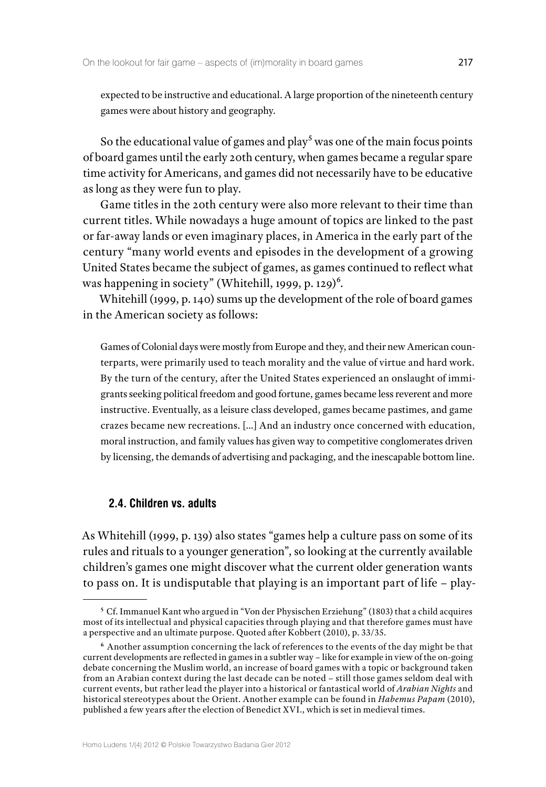expected to be instructive and educational. A large proportion of the nineteenth century games were about history and geography.

So the educational value of games and play<sup>5</sup> was one of the main focus points of board games until the early 20th century, when games became a regular spare time activity for Americans, and games did not necessarily have to be educative as long as they were fun to play.

Game titles in the 20th century were also more relevant to their time than current titles. While nowadays a huge amount of topics are linked to the past or far-away lands or even imaginary places, in America in the early part of the century "many world events and episodes in the development of a growing United States became the subject of games, as games continued to reflect what was happening in society" (Whitehill, 1999, p. 129)<sup>6</sup>.

Whitehill (1999, p. 140) sums up the development of the role of board games in the American society as follows:

Games of Colonial days were mostly from Europe and they, and their new American counterparts, were primarily used to teach morality and the value of virtue and hard work. By the turn of the century, after the United States experienced an onslaught of immigrants seeking political freedom and good fortune, games became less reverent and more instructive. Eventually, as a leisure class developed, games became pastimes, and game crazes became new recreations. […] And an industry once concerned with education, moral instruction, and family values has given way to competitive conglomerates driven by licensing, the demands of advertising and packaging, and the inescapable bottom line.

# **2.4. Children vs. adults**

As Whitehill (1999, p. 139) also states "games help a culture pass on some of its rules and rituals to a younger generation", so looking at the currently available children's games one might discover what the current older generation wants to pass on. It is undisputable that playing is an important part of life – play-

**<sup>5</sup>**Cf. Immanuel Kant who argued in "Von der Physischen Erziehung" (1803) that a child acquires most of its intellectual and physical capacities through playing and that therefore games must have a perspective and an ultimate purpose. Quoted after Kobbert (2010), p. 33/35.

**<sup>6</sup>**Another assumption concerning the lack of references to the events of the day might be that current developments are reflected in games in a subtler way – like for example in view of the on-going debate concerning the Muslim world, an increase of board games with a topic or background taken from an Arabian context during the last decade can be noted – still those games seldom deal with current events, but rather lead the player into a historical or fantastical world of *Arabian Nights* and historical stereotypes about the Orient. Another example can be found in *Habemus Papam* (2010), published a few years after the election of Benedict XVI., which is set in medieval times.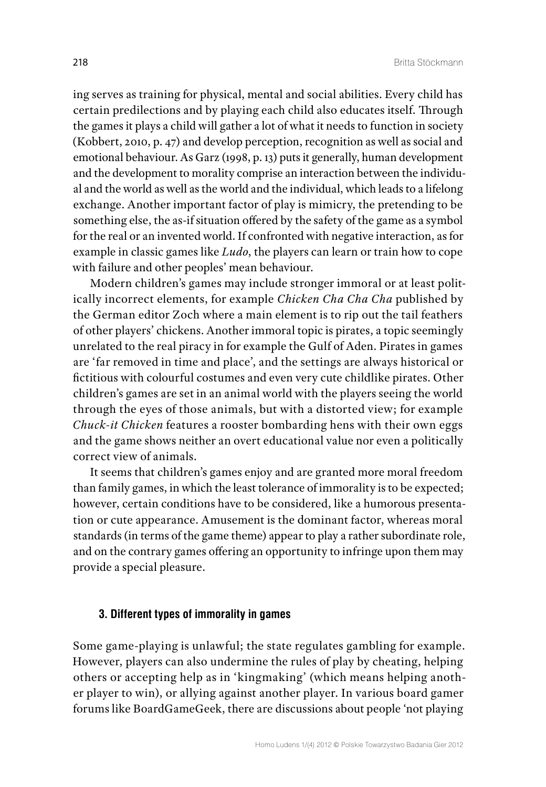ing serves as training for physical, mental and social abilities. Every child has certain predilections and by playing each child also educates itself. Through the games it plays a child will gather a lot of what it needs to function in society (Kobbert, 2010, p. 47) and develop perception, recognition as well as social and emotional behaviour. As Garz (1998, p. 13) puts it generally, human development and the development to morality comprise an interaction between the individual and the world as well as the world and the individual, which leads to a lifelong exchange. Another important factor of play is mimicry, the pretending to be something else, the as-if situation offered by the safety of the game as a symbol for the real or an invented world. If confronted with negative interaction, as for example in classic games like *Ludo*, the players can learn or train how to cope with failure and other peoples' mean behaviour.

Modern children's games may include stronger immoral or at least politically incorrect elements, for example *Chicken Cha Cha Cha* published by the German editor Zoch where a main element is to rip out the tail feathers of other players' chickens. Another immoral topic is pirates, a topic seemingly unrelated to the real piracy in for example the Gulf of Aden. Pirates in games are 'far removed in time and place', and the settings are always historical or fictitious with colourful costumes and even very cute childlike pirates. Other children's games are set in an animal world with the players seeing the world through the eyes of those animals, but with a distorted view; for example *Chuck-it Chicken* features a rooster bombarding hens with their own eggs and the game shows neither an overt educational value nor even a politically correct view of animals.

It seems that children's games enjoy and are granted more moral freedom than family games, in which the least tolerance of immorality is to be expected; however, certain conditions have to be considered, like a humorous presentation or cute appearance. Amusement is the dominant factor, whereas moral standards (in terms of the game theme) appear to play a rather subordinate role, and on the contrary games offering an opportunity to infringe upon them may provide a special pleasure.

#### **3. Different types of immorality in games**

Some game-playing is unlawful; the state regulates gambling for example. However, players can also undermine the rules of play by cheating, helping others or accepting help as in 'kingmaking' (which means helping another player to win), or allying against another player. In various board gamer forums like BoardGameGeek, there are discussions about people 'not playing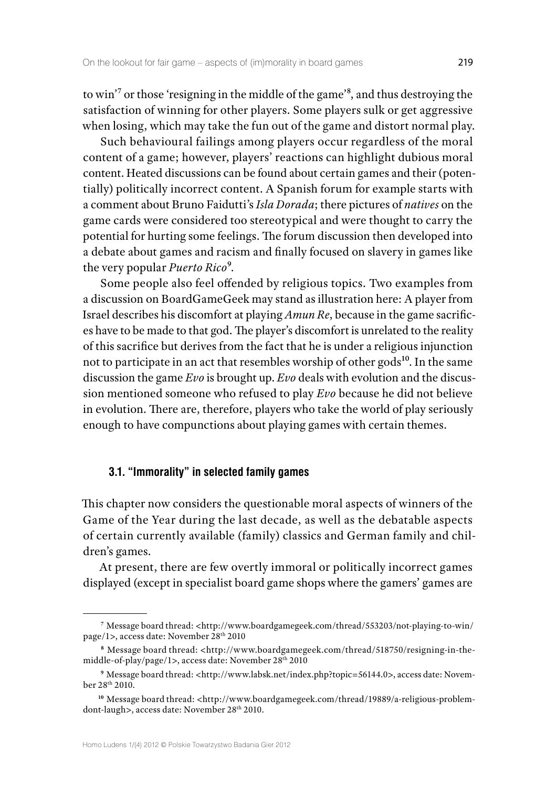to win'7 or those 'resigning in the middle of the game'8, and thus destroying the satisfaction of winning for other players. Some players sulk or get aggressive when losing, which may take the fun out of the game and distort normal play.

Such behavioural failings among players occur regardless of the moral content of a game; however, players' reactions can highlight dubious moral content. Heated discussions can be found about certain games and their (potentially) politically incorrect content. A Spanish forum for example starts with a comment about Bruno Faidutti's *Isla Dorada*; there pictures of *natives* on the game cards were considered too stereotypical and were thought to carry the potential for hurting some feelings. The forum discussion then developed into a debate about games and racism and finally focused on slavery in games like the very popular *Puerto Rico*9.

Some people also feel offended by religious topics. Two examples from a discussion on BoardGameGeek may stand as illustration here: A player from Israel describes his discomfort at playing *Amun Re*, because in the game sacrifices have to be made to that god. The player's discomfort is unrelated to the reality of this sacrifice but derives from the fact that he is under a religious injunction not to participate in an act that resembles worship of other gods<sup>10</sup>. In the same discussion the game *Evo* is brought up. *Evo* deals with evolution and the discussion mentioned someone who refused to play *Evo* because he did not believe in evolution. There are, therefore, players who take the world of play seriously enough to have compunctions about playing games with certain themes.

## **3.1. "Immorality" in selected family games**

This chapter now considers the questionable moral aspects of winners of the Game of the Year during the last decade, as well as the debatable aspects of certain currently available (family) classics and German family and children's games.

At present, there are few overtly immoral or politically incorrect games displayed (except in specialist board game shops where the gamers' games are

**<sup>7</sup>**Message board thread: <http://www.boardgamegeek.com/thread/553203/not-playing-to-win/ page/1>, access date: November 28th 2010

**<sup>8</sup>** Message board thread: <http://www.boardgamegeek.com/thread/518750/resigning-in-themiddle-of-play/page/1>, access date: November 28th 2010

<sup>&</sup>lt;sup>9</sup> Message board thread: <http://www.labsk.net/index.php?topic=56144.0>, access date: November 28th 2010.

<sup>&</sup>lt;sup>10</sup> Message board thread: <http://www.boardgamegeek.com/thread/19889/a-religious-problemdont-laugh>, access date: November 28<sup>th</sup> 2010.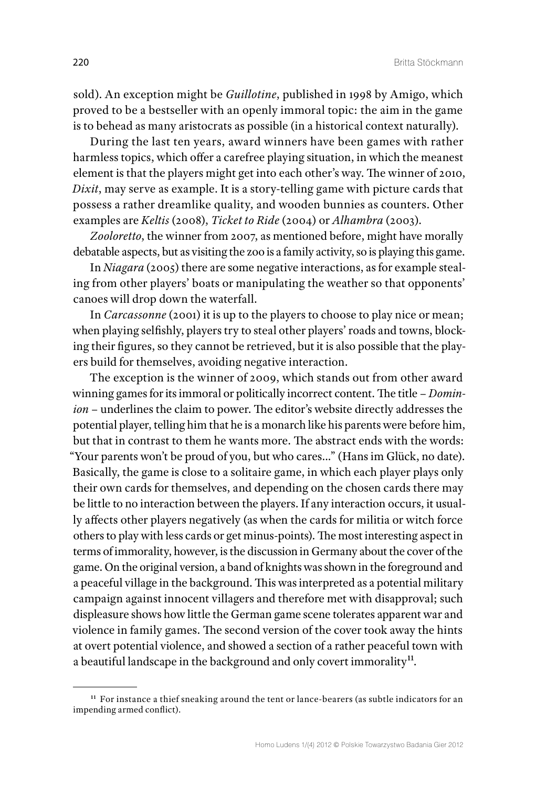sold). An exception might be *Guillotine*, published in 1998 by Amigo, which proved to be a bestseller with an openly immoral topic: the aim in the game is to behead as many aristocrats as possible (in a historical context naturally).

During the last ten years, award winners have been games with rather harmless topics, which offer a carefree playing situation, in which the meanest element is that the players might get into each other's way. The winner of 2010, *Dixit*, may serve as example. It is a story-telling game with picture cards that possess a rather dreamlike quality, and wooden bunnies as counters. Other examples are *Keltis* (2008), *Ticket to Ride* (2004) or *Alhambra* (2003).

*Zooloretto*, the winner from 2007, as mentioned before, might have morally debatable aspects, but as visiting the zoo is a family activity, so is playing this game.

In *Niagara* (2005) there are some negative interactions, as for example stealing from other players' boats or manipulating the weather so that opponents' canoes will drop down the waterfall.

In *Carcassonne* (2001) it is up to the players to choose to play nice or mean; when playing selfishly, players try to steal other players' roads and towns, blocking their figures, so they cannot be retrieved, but it is also possible that the players build for themselves, avoiding negative interaction.

The exception is the winner of 2009, which stands out from other award winning games for its immoral or politically incorrect content. The title – *Dominion* – underlines the claim to power. The editor's website directly addresses the potential player, telling him that he is a monarch like his parents were before him, but that in contrast to them he wants more. The abstract ends with the words: "Your parents won't be proud of you, but who cares…" (Hans im Glück, no date). Basically, the game is close to a solitaire game, in which each player plays only their own cards for themselves, and depending on the chosen cards there may be little to no interaction between the players. If any interaction occurs, it usually affects other players negatively (as when the cards for militia or witch force others to play with less cards or get minus-points). The most interesting aspect in terms of immorality, however, is the discussion in Germany about the cover of the game. On the original version, a band of knights was shown in the foreground and a peaceful village in the background. This was interpreted as a potential military campaign against innocent villagers and therefore met with disapproval; such displeasure shows how little the German game scene tolerates apparent war and violence in family games. The second version of the cover took away the hints at overt potential violence, and showed a section of a rather peaceful town with a beautiful landscape in the background and only covert immorality<sup>11</sup>.

**<sup>11</sup>**For instance a thief sneaking around the tent or lance-bearers (as subtle indicators for an impending armed conflict).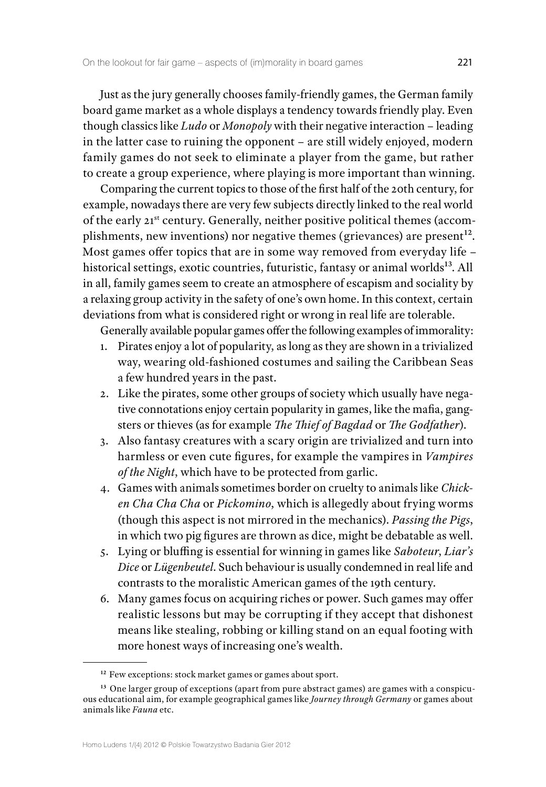Just as the jury generally chooses family-friendly games, the German family board game market as a whole displays a tendency towards friendly play. Even though classics like *Ludo* or *Monopoly* with their negative interaction – leading in the latter case to ruining the opponent – are still widely enjoyed, modern family games do not seek to eliminate a player from the game, but rather to create a group experience, where playing is more important than winning.

Comparing the current topics to those of the first half of the 20th century, for example, nowadays there are very few subjects directly linked to the real world of the early 21<sup>st</sup> century. Generally, neither positive political themes (accomplishments, new inventions) nor negative themes (grievances) are present<sup>12</sup>. Most games offer topics that are in some way removed from everyday life – historical settings, exotic countries, futuristic, fantasy or animal worlds<sup>13</sup>. All in all, family games seem to create an atmosphere of escapism and sociality by a relaxing group activity in the safety of one's own home. In this context, certain deviations from what is considered right or wrong in real life are tolerable.

Generally available popular games offer the following examples of immorality:

- 1. Pirates enjoy a lot of popularity, as long as they are shown in a trivialized way, wearing old-fashioned costumes and sailing the Caribbean Seas a few hundred years in the past.
- 2. Like the pirates, some other groups of society which usually have negative connotations enjoy certain popularity in games, like the mafia, gangsters or thieves (as for example *The Thief of Bagdad* or *The Godfather*).
- 3. Also fantasy creatures with a scary origin are trivialized and turn into harmless or even cute figures, for example the vampires in *Vampires of the Night*, which have to be protected from garlic.
- 4. Games with animals sometimes border on cruelty to animals like *Chicken Cha Cha Cha* or *Pickomino*, which is allegedly about frying worms (though this aspect is not mirrored in the mechanics). *Passing the Pigs*, in which two pig figures are thrown as dice, might be debatable as well.
- 5. Lying or bluffing is essential for winning in games like *Saboteur*, *Liar's Dice* or *Lügenbeutel*. Such behaviour is usually condemned in real life and contrasts to the moralistic American games of the 19th century.
- 6. Many games focus on acquiring riches or power. Such games may offer realistic lessons but may be corrupting if they accept that dishonest means like stealing, robbing or killing stand on an equal footing with more honest ways of increasing one's wealth.

<sup>&</sup>lt;sup>12</sup> Few exceptions: stock market games or games about sport.

**<sup>13</sup>** One larger group of exceptions (apart from pure abstract games) are games with a conspicuous educational aim, for example geographical games like *Journey through Germany* or games about animals like *Fauna* etc.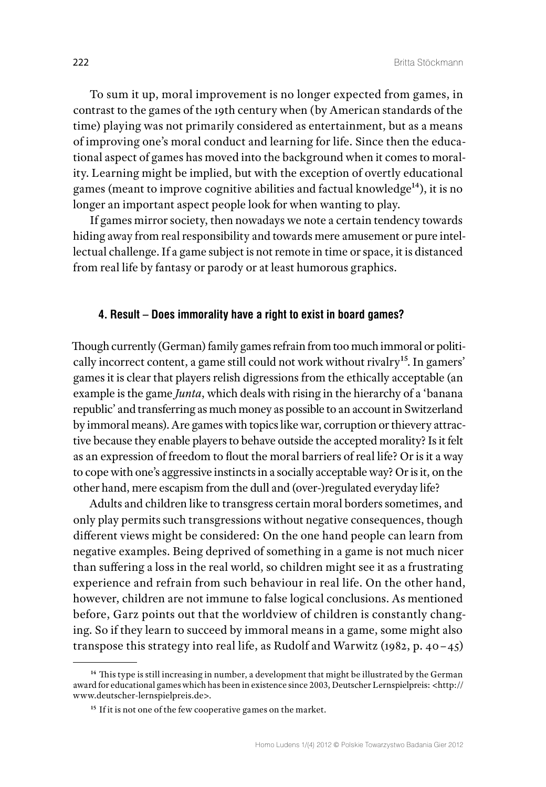To sum it up, moral improvement is no longer expected from games, in contrast to the games of the 19th century when (by American standards of the time) playing was not primarily considered as entertainment, but as a means of improving one's moral conduct and learning for life. Since then the educational aspect of games has moved into the background when it comes to morality. Learning might be implied, but with the exception of overtly educational games (meant to improve cognitive abilities and factual knowledge<sup>14</sup>), it is no longer an important aspect people look for when wanting to play.

If games mirror society, then nowadays we note a certain tendency towards hiding away from real responsibility and towards mere amusement or pure intellectual challenge. If a game subject is not remote in time or space, it is distanced from real life by fantasy or parody or at least humorous graphics.

#### **4. Result – Does immorality have a right to exist in board games?**

Though currently (German) family games refrain from too much immoral or politically incorrect content, a game still could not work without rivalry<sup>15</sup>. In gamers' games it is clear that players relish digressions from the ethically acceptable (an example is the game *Junta*, which deals with rising in the hierarchy of a 'banana republic' and transferring as much money as possible to an account in Switzerland by immoral means). Are games with topics like war, corruption or thievery attractive because they enable players to behave outside the accepted morality? Is it felt as an expression of freedom to flout the moral barriers of real life? Or is it a way to cope with one's aggressive instincts in a socially acceptable way? Or is it, on the other hand, mere escapism from the dull and (over-)regulated everyday life?

Adults and children like to transgress certain moral borders sometimes, and only play permits such transgressions without negative consequences, though different views might be considered: On the one hand people can learn from negative examples. Being deprived of something in a game is not much nicer than suffering a loss in the real world, so children might see it as a frustrating experience and refrain from such behaviour in real life. On the other hand, however, children are not immune to false logical conclusions. As mentioned before, Garz points out that the worldview of children is constantly changing. So if they learn to succeed by immoral means in a game, some might also transpose this strategy into real life, as Rudolf and Warwitz (1982, p. 40–45)

<sup>&</sup>lt;sup>14</sup> This type is still increasing in number, a development that might be illustrated by the German award for educational games which has been in existence since 2003, Deutscher Lernspielpreis: <http:// www.deutscher-lernspielpreis.de>.

**<sup>15</sup>** If it is not one of the few cooperative games on the market.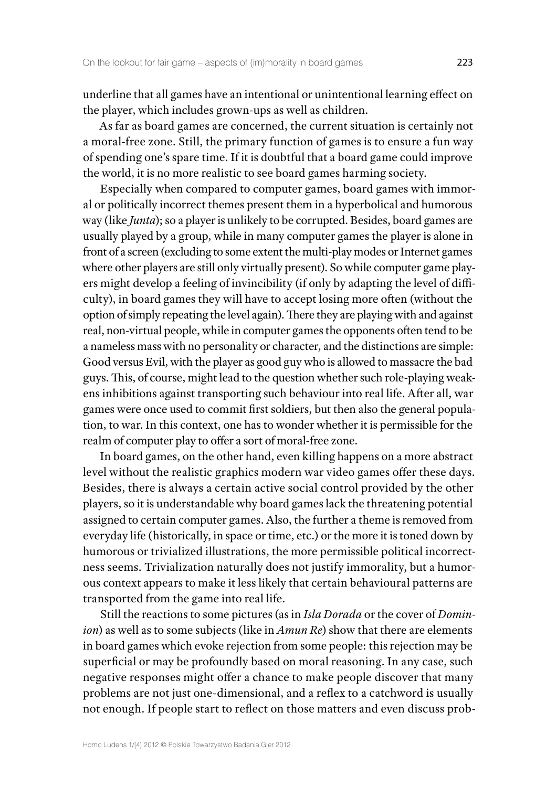underline that all games have an intentional or unintentional learning effect on the player, which includes grown-ups as well as children.

As far as board games are concerned, the current situation is certainly not a moral-free zone. Still, the primary function of games is to ensure a fun way of spending one's spare time. If it is doubtful that a board game could improve the world, it is no more realistic to see board games harming society.

Especially when compared to computer games, board games with immoral or politically incorrect themes present them in a hyperbolical and humorous way (like *Junta*); so a player is unlikely to be corrupted. Besides, board games are usually played by a group, while in many computer games the player is alone in front of a screen (excluding to some extent the multi-play modes or Internet games where other players are still only virtually present). So while computer game players might develop a feeling of invincibility (if only by adapting the level of difficulty), in board games they will have to accept losing more often (without the option of simply repeating the level again). There they are playing with and against real, non-virtual people, while in computer games the opponents often tend to be a nameless mass with no personality or character, and the distinctions are simple: Good versus Evil, with the player as good guy who is allowed to massacre the bad guys. This, of course, might lead to the question whether such role-playing weakens inhibitions against transporting such behaviour into real life. After all, war games were once used to commit first soldiers, but then also the general population, to war. In this context, one has to wonder whether it is permissible for the realm of computer play to offer a sort of moral-free zone.

In board games, on the other hand, even killing happens on a more abstract level without the realistic graphics modern war video games offer these days. Besides, there is always a certain active social control provided by the other players, so it is understandable why board games lack the threatening potential assigned to certain computer games. Also, the further a theme is removed from everyday life (historically, in space or time, etc.) or the more it is toned down by humorous or trivialized illustrations, the more permissible political incorrectness seems. Trivialization naturally does not justify immorality, but a humorous context appears to make it less likely that certain behavioural patterns are transported from the game into real life.

Still the reactions to some pictures (as in *Isla Dorada* or the cover of *Dominion*) as well as to some subjects (like in *Amun Re*) show that there are elements in board games which evoke rejection from some people: this rejection may be superficial or may be profoundly based on moral reasoning. In any case, such negative responses might offer a chance to make people discover that many problems are not just one-dimensional, and a reflex to a catchword is usually not enough. If people start to reflect on those matters and even discuss prob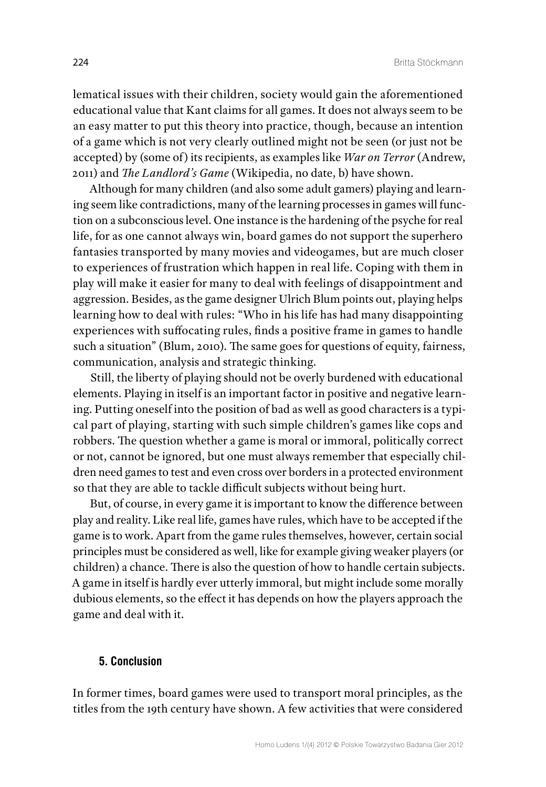lematical issues with their children, society would gain the aforementioned educational value that Kant claims for all games. It does not always seem to be an easy matter to put this theory into practice, though, because an intention of a game which is not very clearly outlined might not be seen (or just not be accepted) by (some of) its recipients, as examples like *War on Terror* (Andrew, 2011) and *The Landlord's Game* (Wikipedia, no date, b) have shown.

Although for many children (and also some adult gamers) playing and learning seem like contradictions, many of the learning processes in games will function on a subconscious level. One instance is the hardening of the psyche for real life, for as one cannot always win, board games do not support the superhero fantasies transported by many movies and videogames, but are much closer to experiences of frustration which happen in real life. Coping with them in play will make it easier for many to deal with feelings of disappointment and aggression. Besides, as the game designer Ulrich Blum points out, playing helps learning how to deal with rules: "Who in his life has had many disappointing experiences with suffocating rules, finds a positive frame in games to handle such a situation" (Blum, 2010). The same goes for questions of equity, fairness, communication, analysis and strategic thinking.

Still, the liberty of playing should not be overly burdened with educational elements. Playing in itself is an important factor in positive and negative learning. Putting oneself into the position of bad as well as good characters is a typical part of playing, starting with such simple children's games like cops and robbers. The question whether a game is moral or immoral, politically correct or not, cannot be ignored, but one must always remember that especially children need games to test and even cross over borders in a protected environment so that they are able to tackle difficult subjects without being hurt.

But, of course, in every game it is important to know the difference between play and reality. Like real life, games have rules, which have to be accepted if the game is to work. Apart from the game rules themselves, however, certain social principles must be considered as well, like for example giving weaker players (or children) a chance. There is also the question of how to handle certain subjects. A game in itself is hardly ever utterly immoral, but might include some morally dubious elements, so the effect it has depends on how the players approach the game and deal with it.

# **5. Conclusion**

In former times, board games were used to transport moral principles, as the titles from the 19th century have shown. A few activities that were considered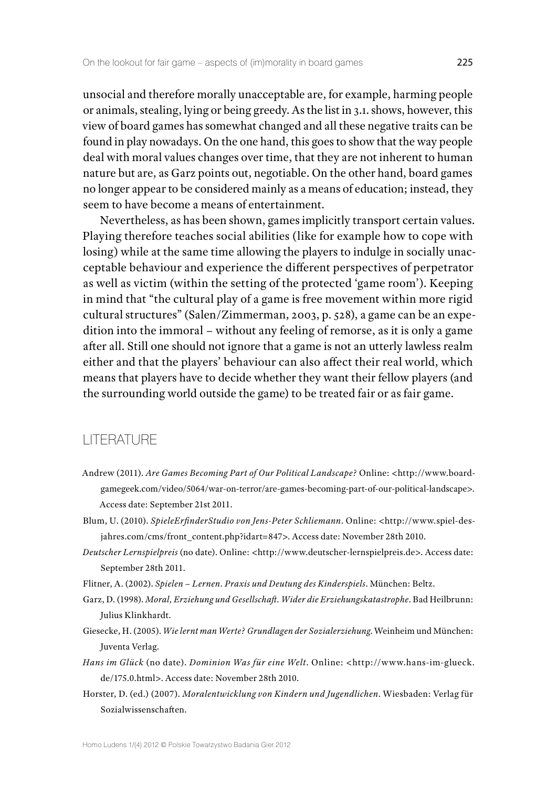unsocial and therefore morally unacceptable are, for example, harming people or animals, stealing, lying or being greedy. As the list in 3.1. shows, however, this view of board games has somewhat changed and all these negative traits can be found in play nowadays. On the one hand, this goes to show that the way people deal with moral values changes over time, that they are not inherent to human nature but are, as Garz points out, negotiable. On the other hand, board games no longer appear to be considered mainly as a means of education; instead, they seem to have become a means of entertainment.

Nevertheless, as has been shown, games implicitly transport certain values. Playing therefore teaches social abilities (like for example how to cope with losing) while at the same time allowing the players to indulge in socially unacceptable behaviour and experience the different perspectives of perpetrator as well as victim (within the setting of the protected 'game room'). Keeping in mind that "the cultural play of a game is free movement within more rigid cultural structures" (Salen/Zimmerman, 2003, p. 528), a game can be an expedition into the immoral – without any feeling of remorse, as it is only a game after all. Still one should not ignore that a game is not an utterly lawless realm either and that the players' behaviour can also affect their real world, which means that players have to decide whether they want their fellow players (and the surrounding world outside the game) to be treated fair or as fair game.

# LITERATURE

- Andrew (2011). *Are Games Becoming Part of Our Political Landscape?* Online: <http://www.boardgamegeek.com/video/5064/war-on-terror/are-games-becoming-part-of-our-political-landscape>. Access date: September 21st 2011.
- Blum, U. (2010). *SpieleErfinderStudio von Jens-Peter Schliemann*. Online: <http://www.spiel-desjahres.com/cms/front\_content.php?idart=847>. Access date: November 28th 2010.
- *Deutscher Lernspielpreis* (no date). Online: <http://www.deutscher-lernspielpreis.de>. Access date: September 28th 2011.
- Flitner, A. (2002). *Spielen Lernen. Praxis und Deutung des Kinderspiels*. München: Beltz.
- Garz, D. (1998). *Moral, Erziehung und Gesellschaft. Wider die Erziehungskatastrophe*. Bad Heilbrunn: Julius Klinkhardt.
- Giesecke, H. (2005). *Wie lernt man Werte? Grundlagen der Sozialerziehung*. Weinheim und München: Juventa Verlag.
- *Hans im Glück* (no date). *Dominion Was für eine Welt*. Online: <http://www.hans-im-glueck. de/175.0.html>. Access date: November 28th 2010.
- Horster, D. (ed.) (2007). *Moralentwicklung von Kindern und Jugendlichen*. Wiesbaden: Verlag für Sozialwissenschaften.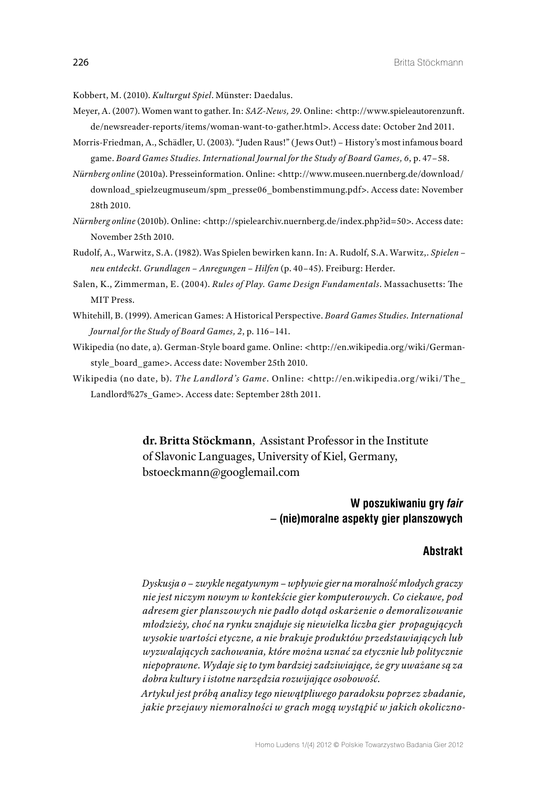Kobbert, M. (2010). *Kulturgut Spiel*. Münster: Daedalus.

- Meyer, A. (2007). Women want to gather. In: *SAZ-News, 29*. Online: <http://www.spieleautorenzunft. de/newsreader-reports/items/woman-want-to-gather.html>. Access date: October 2nd 2011.
- Morris-Friedman, A., Schädler, U. (2003). "Juden Raus!" (Jews Out!) History's most infamous board game. *Board Games Studies. International Journal for the Study of Board Games, 6*, p. 47–58.
- *Nürnberg online* (2010a). Presseinformation. Online: <http://www.museen.nuernberg.de/download/ download\_spielzeugmuseum/spm\_presse06\_bombenstimmung.pdf>. Access date: November 28th 2010.
- *Nürnberg online* (2010b). Online: <http://spielearchiv.nuernberg.de/index.php?id=50>. Access date: November 25th 2010.
- Rudolf, A., Warwitz, S.A. (1982). Was Spielen bewirken kann. In: A. Rudolf, S.A. Warwitz,. *Spielen neu entdeckt. Grundlagen – Anregungen – Hilfen* (p. 40–45). Freiburg: Herder.
- Salen, K., Zimmerman, E. (2004). *Rules of Play. Game Design Fundamentals*. Massachusetts: The MIT Press.
- Whitehill, B. (1999). American Games: A Historical Perspective. *Board Games Studies. International Journal for the Study of Board Games, 2*, p. 116–141.
- Wikipedia (no date, a). German-Style board game. Online: <http://en.wikipedia.org/wiki/Germanstyle\_board\_game>. Access date: November 25th 2010.
- Wikipedia (no date, b). *The Landlord's Game*. Online: <http://en.wikipedia.org/wiki/The\_ Landlord%27s\_Game>. Access date: September 28th 2011.

**dr. Britta Stöckmann**, Assistant Professor in the Institute of Slavonic Languages, University of Kiel, Germany, bstoeckmann@googlemail.com

# **W poszukiwaniu gry** *fair* **– (nie)moralne aspekty gier planszowych**

#### **Abstrakt**

*Dyskusja o – zwykle negatywnym – wpływie gier na moralność młodych graczy nie jest niczym nowym w kontekście gier komputerowych. Co ciekawe, pod adresem gier planszowych nie padło dotąd oskarżenie o demoralizowanie młodzieży, choć na rynku znajduje się niewielka liczba gier propagujących wysokie wartości etyczne, a nie brakuje produktów przedstawiających lub wyzwalających zachowania, które można uznać za etycznie lub politycznie niepoprawne. Wydaje się to tym bardziej zadziwiające, że gry uważane są za dobra kultury i istotne narzędzia rozwijające osobowość.*

*Artykuł jest próbą analizy tego niewątpliwego paradoksu poprzez zbadanie, jakie przejawy niemoralności w grach mogą wystąpić w jakich okoliczno-*